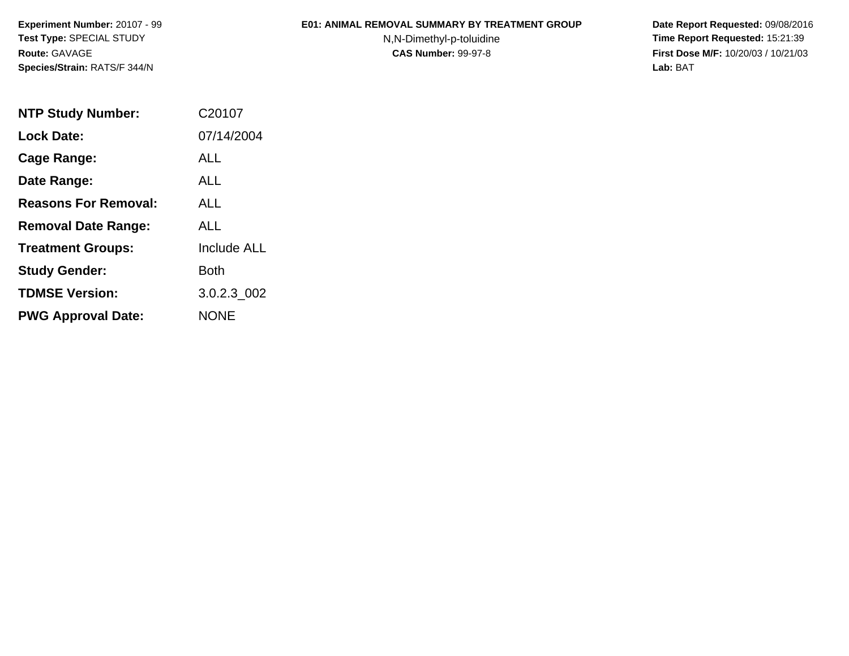**Experiment Number:** 20107 - 99**Test Type:** SPECIAL STUDY**Route:** GAVAGE**Species/Strain:** RATS/F 344/N

## **E01: ANIMAL REMOVAL SUMMARY BY TREATMENT GROUP**

N,N-Dimethyl-p-toluidine

 **Date Report Requested:** 09/08/2016 **Time Report Requested:** 15:21:39 **First Dose M/F:** 10/20/03 / 10/21/03<br>**Lab:** BAT **Lab:** BAT

| <b>NTP Study Number:</b>    | C20107             |
|-----------------------------|--------------------|
| <b>Lock Date:</b>           | 07/14/2004         |
| Cage Range:                 | ALL                |
| Date Range:                 | ALL                |
| <b>Reasons For Removal:</b> | <b>ALL</b>         |
| <b>Removal Date Range:</b>  | ALL                |
| <b>Treatment Groups:</b>    | <b>Include ALL</b> |
| <b>Study Gender:</b>        | Both               |
| <b>TDMSE Version:</b>       | 3.0.2.3 002        |
| <b>PWG Approval Date:</b>   | <b>NONE</b>        |